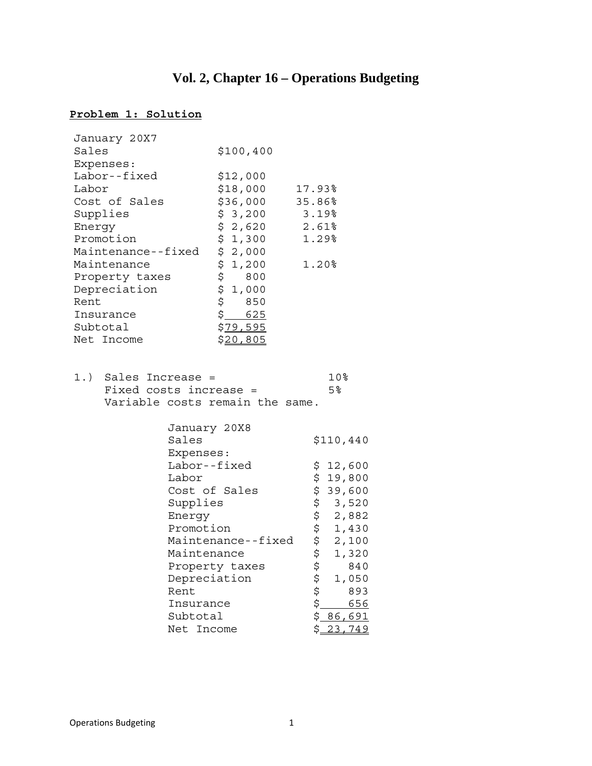# **Vol. 2, Chapter 16 – Operations Budgeting**

# **Problem 1: Solution**

| January 20X7               |                       |                                                                                                                                                                                                                                                             |        |                  |
|----------------------------|-----------------------|-------------------------------------------------------------------------------------------------------------------------------------------------------------------------------------------------------------------------------------------------------------|--------|------------------|
| Sales                      |                       | \$100, 400                                                                                                                                                                                                                                                  |        |                  |
| Expenses:                  |                       |                                                                                                                                                                                                                                                             |        |                  |
| Labor--fixed               |                       | \$12,000                                                                                                                                                                                                                                                    |        |                  |
| Labor                      |                       | \$18,000                                                                                                                                                                                                                                                    | 17.93% |                  |
| Cost of Sales              |                       | \$36,000                                                                                                                                                                                                                                                    | 35.86% |                  |
| Supplies                   |                       | \$ 3,200                                                                                                                                                                                                                                                    | 3.19%  |                  |
| Energy                     |                       | \$2,620                                                                                                                                                                                                                                                     | 2.61%  |                  |
| Promotion                  |                       | $\begin{array}{cc} 2, & 3 & 0 \\ 5, & 2, & 0 & 0 \\ 5, & 2, & 0 & 0 \end{array}$                                                                                                                                                                            | 1.29%  |                  |
| Maintenance--fixed         |                       |                                                                                                                                                                                                                                                             |        |                  |
| Maintenance                |                       |                                                                                                                                                                                                                                                             | 1.20%  |                  |
| Property taxes             |                       | $\begin{array}{cc} \n\div & 1,200 \\ \vdots & 800 \\ \vdots & 0 & 0 \\ \vdots & \vdots & \vdots \\ \vdots & \vdots & \vdots \\ \vdots & \vdots & \vdots \\ \vdots & \vdots & \vdots \\ \vdots & \vdots & \vdots \\ \vdots & \vdots & \vdots \\ \end{array}$ |        |                  |
| Depreciation               |                       |                                                                                                                                                                                                                                                             |        |                  |
| Rent                       |                       |                                                                                                                                                                                                                                                             |        |                  |
| Insurance                  |                       | \$ 625                                                                                                                                                                                                                                                      |        |                  |
| Subtotal                   |                       | \$ <u>79,595</u>                                                                                                                                                                                                                                            |        |                  |
| Net Income                 |                       | \$ <u>20,805</u>                                                                                                                                                                                                                                            |        |                  |
|                            |                       |                                                                                                                                                                                                                                                             |        |                  |
| $1.$ )<br>Sales Increase = |                       |                                                                                                                                                                                                                                                             |        | 10%              |
| Fixed costs increase =     |                       |                                                                                                                                                                                                                                                             |        | $5\%$            |
|                            |                       | Variable costs remain the same.                                                                                                                                                                                                                             |        |                  |
|                            |                       |                                                                                                                                                                                                                                                             |        |                  |
|                            | January 20X8<br>Sales |                                                                                                                                                                                                                                                             |        | \$110,440        |
|                            | Expenses:             |                                                                                                                                                                                                                                                             |        |                  |
|                            | Labor--fixed          |                                                                                                                                                                                                                                                             | \$     | 12,600           |
|                            | Labor                 |                                                                                                                                                                                                                                                             | \$     | 19,800           |
|                            | Cost of Sales         |                                                                                                                                                                                                                                                             |        | 39,600           |
|                            | Supplies              |                                                                                                                                                                                                                                                             |        | 3,520            |
|                            | Energy                |                                                                                                                                                                                                                                                             |        | 2,882            |
|                            | Promotion             |                                                                                                                                                                                                                                                             |        | 1,430            |
|                            |                       | Maintenance--fixed                                                                                                                                                                                                                                          |        | 2,100            |
|                            | Maintenance           |                                                                                                                                                                                                                                                             |        | 1,320            |
|                            |                       | Property taxes                                                                                                                                                                                                                                              |        | 840              |
|                            | Depreciation          |                                                                                                                                                                                                                                                             |        | 1,050            |
|                            | Rent                  |                                                                                                                                                                                                                                                             |        | 893              |
|                            | Insurance             |                                                                                                                                                                                                                                                             |        | 656              |
|                            | Subtotal              |                                                                                                                                                                                                                                                             |        | \$ <u>86,691</u> |
|                            | Net Income            |                                                                                                                                                                                                                                                             | \$     | 23,749           |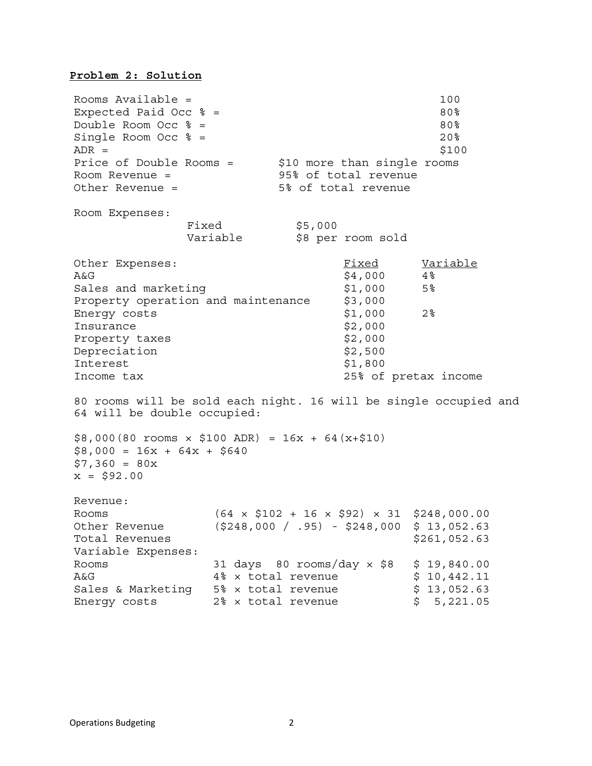### **Problem 2: Solution**

Rooms Available = 100 Expected Paid Occ  $\text{\%}$  = 80% Double Room Occ  $\text{\%}$  = 80%  $Single$  Room Occ  $\text{\%}$  =  $20\text{\%}$  $ADR =$  \$100 Price of Double Rooms = \$10 more than single rooms Room Revenue = 95% of total revenue Other Revenue = 5% of total revenue Room Expenses: Fixed \$5,000 Variable  $\uparrow$  \$8 per room sold Other Expenses: The Contract of The Contract of The Variable  $A&G$   $$4,000$   $4\%$ Sales and marketing  $$1,000$  5% Property operation and maintenance \$3,000 Energy costs  $\text{S1,000}$  2% Insurance  $\text{S2,000}$ Property taxes \$2,000 Depreciation  $$2,500$ Interest  $$1,800$ Income tax 25% of pretax income 80 rooms will be sold each night. 16 will be single occupied and 64 will be double occupied:  $$8,000(80$  rooms  $\times$  \$100 ADR) = 16x + 64(x+\$10)  $$8,000 = 16x + 64x + $640$  $$7,360 = 80x$  $x = $92.00$ Revenue: Rooms (64 × \$102 + 16 × \$92) × 31 \$248,000.00 Other Revenue (\$248,000 / .95) - \$248,000 \$ 13,052.63 Total Revenues **\$261,052.63** Variable Expenses: Rooms 31 days 80 rooms/day × \$8 \$ 19,840.00 A&G 4% × total revenue \$ 10,442.11 Sales & Marketing 5% x total revenue  $\qquad \qquad$  \$ 13,052.63 Energy costs 2% x total revenue  $$5,221.05$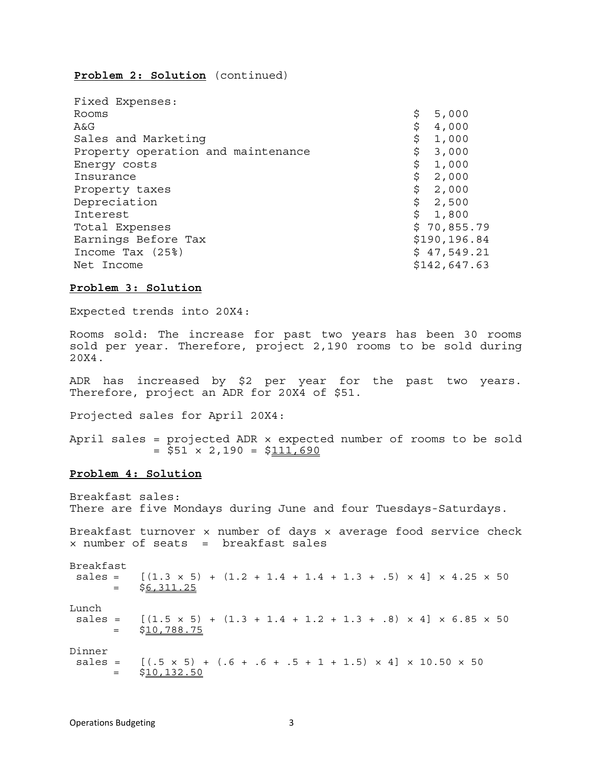# **Problem 2: Solution** (continued)

| Fixed Expenses:                    |               |
|------------------------------------|---------------|
| Rooms                              | 5,000<br>\$   |
| A&G                                | \$<br>4,000   |
| Sales and Marketing                | \$<br>1,000   |
| Property operation and maintenance | \$<br>3,000   |
| Energy costs                       | \$<br>1,000   |
| Insurance                          | \$<br>2,000   |
| Property taxes                     | \$<br>2,000   |
| Depreciation                       | \$<br>2,500   |
| Interest                           | \$<br>1,800   |
| Total Expenses                     | \$70,855.79   |
| Earnings Before Tax                | \$190, 196.84 |
| Income Tax (25%)                   | \$47,549.21   |
| Net Income                         | \$142,647.63  |

### **Problem 3: Solution**

Expected trends into 20X4:

Rooms sold: The increase for past two years has been 30 rooms sold per year. Therefore, project 2,190 rooms to be sold during 20X4.

ADR has increased by \$2 per year for the past two years. Therefore, project an ADR for 20X4 of \$51.

Projected sales for April 20X4:

April sales = projected ADR  $\times$  expected number of rooms to be sold  $= $51 \times 2,190 = $111,690$ 

### **Problem 4: Solution**

Breakfast sales: There are five Mondays during June and four Tuesdays-Saturdays. Breakfast turnover × number of days × average food service check × number of seats = breakfast sales Breakfast sales =  $[(1.3 \times 5) + (1.2 + 1.4 + 1.4 + 1.3 + .5) \times 4] \times 4.25 \times 50$ \$6,311.25 Lunch<br>sales =  $[(1.5 \times 5) + (1.3 + 1.4 + 1.2 + 1.3 + .8) \times 4] \times 6.85 \times 50$  $=$  \$10,788.75 Dinner sales =  $[(.5 \times 5) + (.6 + .6 + .5 + 1 + 1.5) \times 4] \times 10.50 \times 50$  $=$  \$10,132.50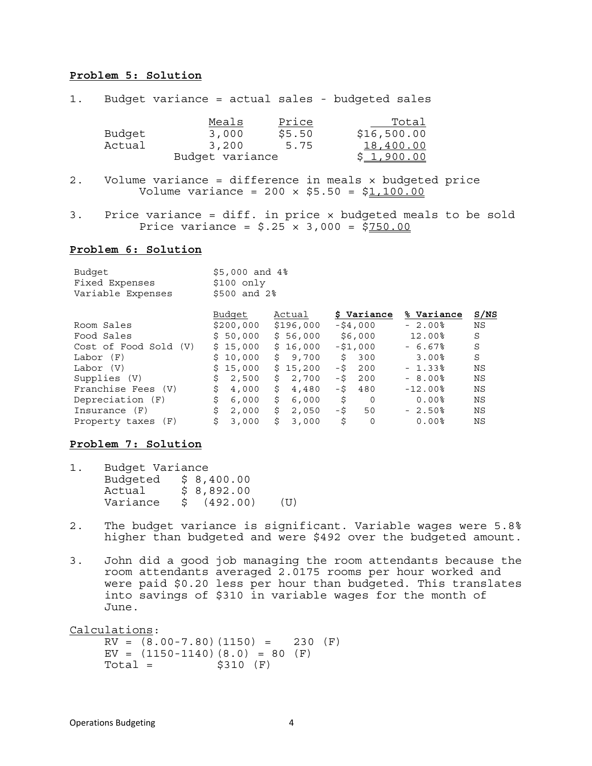### **Problem 5: Solution**

| $1$ . |                  | Budget variance = actual sales - budgeted sales  |                         |                                                        |
|-------|------------------|--------------------------------------------------|-------------------------|--------------------------------------------------------|
|       | Budget<br>Actual | Meals<br>3,000<br>3,200<br>Budget variance       | Price<br>\$5.50<br>5.75 | Total<br>\$16,500.00<br>18,400.00<br>\$1,900.00        |
| $2$ . |                  | Volume variance = $200 \times $5.50 = $1,100.00$ |                         | Volume variance = difference in meals x budgeted price |

3. Price variance = diff. in price × budgeted meals to be sold Price variance =  $$.25 \times 3,000 = $750.00$ 

### **Problem 6: Solution**

| Budget                | $$5,000$ and $4\$ |             |                |              |           |
|-----------------------|-------------------|-------------|----------------|--------------|-----------|
| Fixed Expenses        | $$100$ only       |             |                |              |           |
| Variable Expenses     | $$500$ and $2\$   |             |                |              |           |
|                       | Budget            | Actual      | \$ Variance    | % Variance   | S/NS      |
|                       |                   |             |                |              |           |
| Room Sales            | \$200,000         | \$196,000   | $-$ \$4,000    | $-2.00\%$    | <b>NS</b> |
| Food Sales            | \$50,000          | \$56,000    | \$6,000        | 12.00%       | S         |
| Cost of Food Sold (V) | \$15,000          | \$16,000    | $-51,000$      | $-6.67%$     | S         |
| Labor (F)             | \$10,000          | \$9,700     | Š.<br>300      | 3.00%        | S         |
| Labor (V)             | \$15,000          | \$15,200    | - \$<br>200    | $-1.33\%$    | ΝS        |
| Supplies (V)          | \$<br>2,500       | \$<br>2,700 | -\$<br>200     | $-8.00%$     | ΝS        |
| Franchise Fees (V)    | \$<br>4,000       | \$<br>4,480 | -\$<br>480     | $-12.00$ $8$ | NS        |
| Depreciation (F)      | \$<br>6,000       | \$<br>6,000 | \$<br>$\Omega$ | $0.00$ $8$   | ΝS        |
| Insurance (F)         | \$<br>2,000       | \$<br>2,050 | -\$<br>50      | $-2.50%$     | ΝS        |
| Property taxes (F)    | \$<br>3,000       | Š.<br>3,000 | \$<br>0        | $0.00$ %     | ΝS        |

#### **Problem 7: Solution**

| Budget Variance |  |            |      |
|-----------------|--|------------|------|
| Budgeted        |  | \$8,400.00 |      |
| Actual          |  | \$8,892.00 |      |
| Variance        |  | (492.00)   | (TI) |

- 2. The budget variance is significant. Variable wages were 5.8% higher than budgeted and were \$492 over the budgeted amount.
- 3. John did a good job managing the room attendants because the room attendants averaged 2.0175 rooms per hour worked and were paid \$0.20 less per hour than budgeted. This translates into savings of \$310 in variable wages for the month of June.

Calculations:  $RV = (8.00 - 7.80)(1150) = 230 (F)$  $EV = (1150-1140)(8.0) = 80 (F)$ <br>Total = \$310 (F) \$310 (F)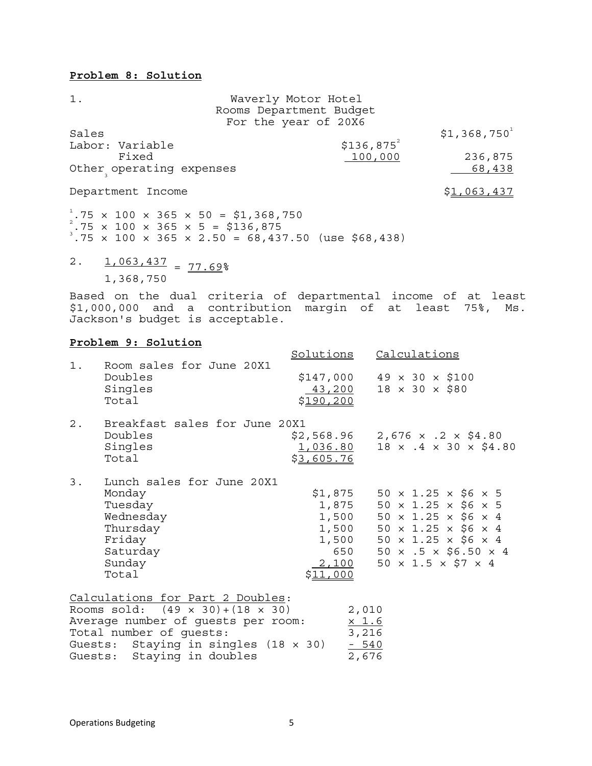# **Problem 8: Solution**

| $1$ .                    | Waverly Motor Hotel     |                           |
|--------------------------|-------------------------|---------------------------|
|                          | Rooms Department Budget |                           |
|                          | For the year of 20X6    |                           |
| Sales                    |                         | $$1,368,750$ <sup>1</sup> |
| Labor: Variable          | $$136,875^2$            |                           |
| Fixed                    | 100,000                 | 236,875                   |
| Other operating expenses |                         | 68,438                    |
| Department Income        |                         | <u>\$1,063,437</u>        |

 $^{1}.75$  × 100 × 365 × 50 = \$1,368,750<br> $^{2}.75$  × 100 × 365 × 5 = \$136,875<br> $^{3}.75$  × 100 × 365 × 2.50 = 68,437.50 (use \$68,438)

2.  $1,063,437 = 77.69$ 1,368,750

Based on the dual criteria of departmental income of at least \$1,000,000 and a contribution margin of at least 75%, Ms. Jackson's budget is acceptable.

### **Problem 9: Solution**

|       |                                                                                                                                                                                                                          | Solutions                                                               | Calculations                                                                                                                                                                                                                                                                  |
|-------|--------------------------------------------------------------------------------------------------------------------------------------------------------------------------------------------------------------------------|-------------------------------------------------------------------------|-------------------------------------------------------------------------------------------------------------------------------------------------------------------------------------------------------------------------------------------------------------------------------|
| $1$ . | Room sales for June 20X1<br>Doubles<br>Singles<br>Total                                                                                                                                                                  | <u>43,200</u><br>\$190,200                                              | $$147,000$ 49 x 30 x \$100<br>$18 \times 30 \times $80$                                                                                                                                                                                                                       |
| $2$ . | Breakfast sales for June 20X1<br>Doubles<br>Singles<br>Total                                                                                                                                                             | <u>1,036.80</u><br>\$3,605.76                                           | $$2,568.96$ 2,676 x .2 x $$4.80$<br>$18 \times .4 \times 30 \times $4.80$                                                                                                                                                                                                     |
| 3.    | Lunch sales for June 20X1<br>Monday<br>Tuesday<br>Wednesday<br>Thursday<br>Friday<br>Saturday<br>Sunday<br>Total                                                                                                         | \$1,875<br>1,875<br>1,500<br>1,500<br>1,500<br>650<br>2,100<br>\$11,000 | $50 \times 1.25 \times $6 \times 5$<br>$50 \times 1.25 \times $6 \times 5$<br>$50 \times 1.25 \times $6 \times 4$<br>$50 \times 1.25 \times $6 \times 4$<br>$50 \times 1.25 \times $6 \times 4$<br>$50 \times .5 \times $6.50 \times 4$<br>$50 \times 1.5 \times $7 \times 4$ |
|       | Calculations for Part 2 Doubles:<br>Rooms sold: $(49 \times 30) + (18 \times 30)$<br>Average number of guests per room:<br>Total number of guests:<br>Guests: Staying in singles (18 x 30)<br>Guests: Staying in doubles |                                                                         | 2,010<br>$\frac{\times 1.6}{3,216}$<br>$-540$<br>2,676                                                                                                                                                                                                                        |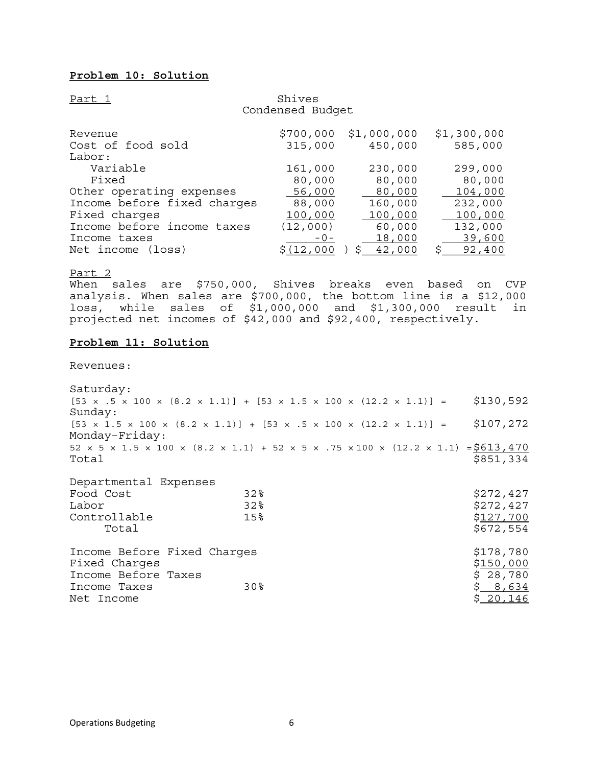# **Problem 10: Solution**

Part 1 Shives

|                             | Condensed Budget  |                     |               |
|-----------------------------|-------------------|---------------------|---------------|
| Revenue                     | \$700,000         | \$1,000,000         | \$1,300,000   |
| Cost of food sold           | 315,000           | 450,000             | 585,000       |
| Labor:                      |                   |                     |               |
| Variable                    | 161,000           | 230,000             | 299,000       |
| Fixed                       | 80,000            | 80,000              | 80,000        |
| Other operating expenses    | 56,000            | 80,000              | 104,000       |
| Income before fixed charges | 88,000            | 160,000             | 232,000       |
| Fixed charges               | 100,000           | 100,000             | 100,000       |
| Income before income taxes  | (12,000)          | 60,000              | 132,000       |
| Income taxes                | $-0-$             | 18,000              | 39,600        |
| Net income (loss)           | \$ <u>(12,000</u> | <u>42,000</u><br>S. | \$.<br>92,400 |

Part 2

When sales are \$750,000, Shives breaks even based on CVP analysis. When sales are \$700,000, the bottom line is a \$12,000 loss, while sales of \$1,000,000 and \$1,300,000 result in projected net incomes of \$42,000 and \$92,400, respectively.

#### **Problem 11: Solution**

Revenues:

Saturday:  $[53 \times .5 \times 100 \times (8.2 \times 1.1)] + [53 \times 1.5 \times 100 \times (12.2 \times 1.1)] =$ \$130,592 Sunday:  $[53 \times 1.5 \times 100 \times (8.2 \times 1.1)] + [53 \times .5 \times 100 \times (12.2 \times 1.1)] =$ \$107,272 Monday–Friday: 52 × 5 × 1.5 × 100 × (8.2 × 1.1) + 52 × 5 × .75 × 100 × (12.2 × 1.1) =  $$613,470$  $Total$   $$851,334$ Departmental Expenses Food Cost 32% \$272,427<br>Labor 32% \$272,427 Labor 32% \$272,427

| LOUDL                       | ه∠د             | 7212, 421 |
|-----------------------------|-----------------|-----------|
| Controllable                | 15 <sup>8</sup> | \$127,700 |
| Total                       |                 | \$672,554 |
|                             |                 |           |
| Income Before Fixed Charges |                 | \$178,780 |
| Fixed Charges               |                 | \$150,000 |
| Income Before Taxes         |                 | \$28,780  |
| Income Taxes                | 30 <sup>8</sup> | \$8,634   |
| Net Income                  |                 | \$20,146  |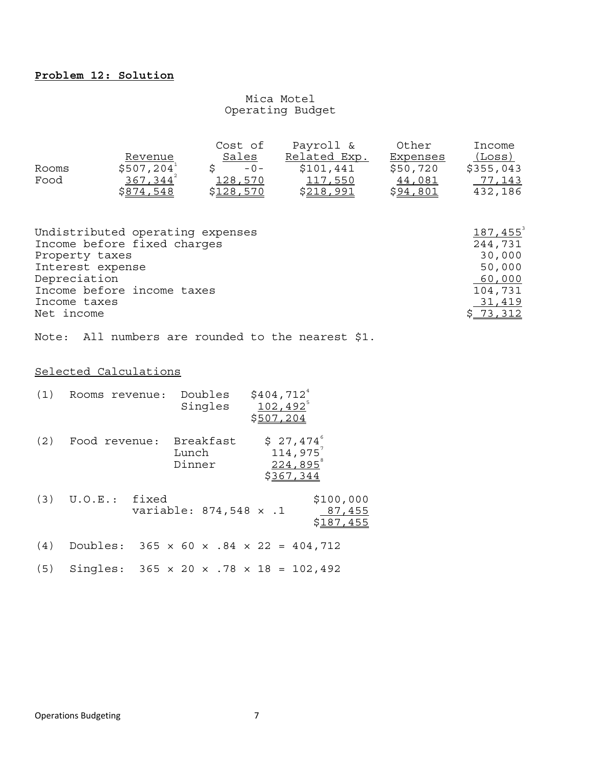# Mica Motel Operating Budget

|       |               | Cost of          | Payroll &         | Other           | Income    |
|-------|---------------|------------------|-------------------|-----------------|-----------|
|       | Revenue       | Sales            | Related Exp.      | Expenses        | (Loss)    |
| Rooms | \$507, 204    | $-0-$            | \$101,441         | \$50,720        | \$355,043 |
| Food  | $367,344^{2}$ | 128,570          | 117,550           | 44,081          | 77.143    |
|       | \$874,548     | <u>\$128,570</u> | \$ <u>218,991</u> | <u>\$94,801</u> | 432,186   |

| Undistributed operating expenses | $187,455^3$ |
|----------------------------------|-------------|
| Income before fixed charges      | 244,731     |
| Property taxes                   | 30,000      |
| Interest expense                 | 50,000      |
| Depreciation                     | 60,000      |
| Income before income taxes       | 104,731     |
| Income taxes                     | 31,419      |
| Net income                       | \$73,312    |

Note: All numbers are rounded to the nearest \$1.

# Selected Calculations

| (1) | Rooms revenue: | Doubles<br>Singles           | $$404,712^4$<br>$102, 492^5$<br>\$507,204                          |
|-----|----------------|------------------------------|--------------------------------------------------------------------|
| (2) | Food revenue:  | Breakfast<br>Lunch<br>Dinner | $$27,474^{\circ}$<br>$114,975^7$<br>$224,895^{\circ}$<br>\$367,344 |
| (3) | U.O.E.: fixed  | variable: 874,548 x .1       | \$100,000<br>87,455<br>\$187,455                                   |
| (4) |                |                              | Doubles: $365 \times 60 \times .84 \times 22 = 404,712$            |
| (5) |                |                              | Singles: $365 \times 20 \times .78 \times 18 = 102,492$            |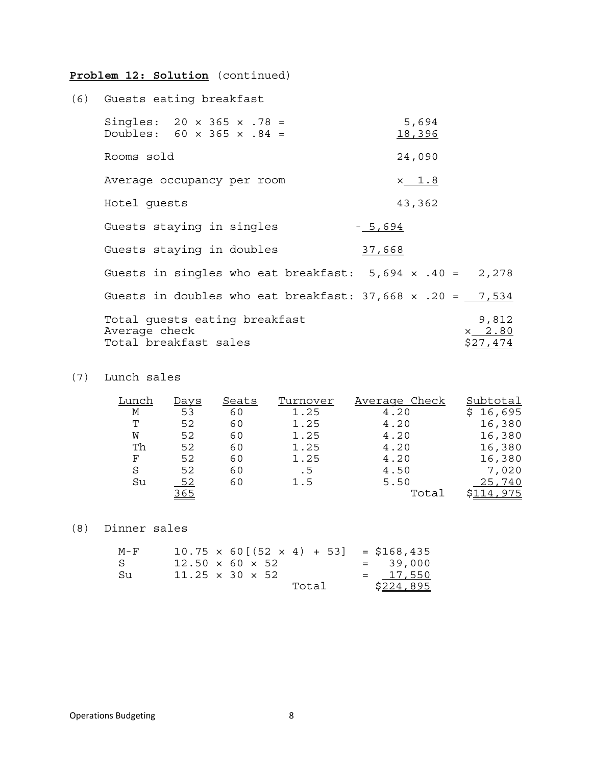# **Problem 12: Solution** (continued)

| (6) Guests eating breakfast                                                    |                                       |
|--------------------------------------------------------------------------------|---------------------------------------|
| Singles: $20 \times 365 \times .78 =$<br>Doubles: $60 \times 365 \times .84 =$ | 5,694<br>18,396                       |
| Rooms sold                                                                     | 24,090                                |
| Average occupancy per room                                                     | $x$ 1.8                               |
| Hotel quests                                                                   | 43,362                                |
| Guests staying in singles                                                      | $-5,694$                              |
| Guests staying in doubles                                                      | 37,668                                |
| Guests in singles who eat breakfast: $5,694 \times .40 = 2,278$                |                                       |
| Guests in doubles who eat breakfast: $37,668 \times .20 = 7,534$               |                                       |
| Total quests eating breakfast<br>Average check<br>Total breakfast sales        | 9,812<br>$x$ 2.80<br>\$ <u>27,474</u> |

(7) Lunch sales

| Lunch | Days       | Seats | Turnover | Average Check | Subtotal |
|-------|------------|-------|----------|---------------|----------|
| M     | 53         | 60    | 1.25     | 4.20          | 16,695   |
| Τ     | 52         | 60    | 1.25     | 4.20          | 16,380   |
| W     | 52         | 60    | 1.25     | 4.20          | 16,380   |
| Th    | 52         | 60    | 1.25     | 4.20          | 16,380   |
| F     | 52         | 60    | 1.25     | 4.20          | 16,380   |
| S     | 52         | 60    | . 5      | 4.50          | 7,020    |
| Su    | 52         | 60    | 1.5      | 5.50          | 25,740   |
|       | <u>365</u> |       |          | Total         | 14,975.  |

# (8) Dinner sales

| M – F |                             |       | $10.75 \times 60[(52 \times 4) + 53] = $168,435$ |
|-------|-----------------------------|-------|--------------------------------------------------|
| S     | $12.50 \times 60 \times 52$ |       | $= 39,000$                                       |
| Su.   | $11.25 \times 30 \times 52$ |       | $= 17,550$                                       |
|       |                             | Total | <u>\$224,895</u>                                 |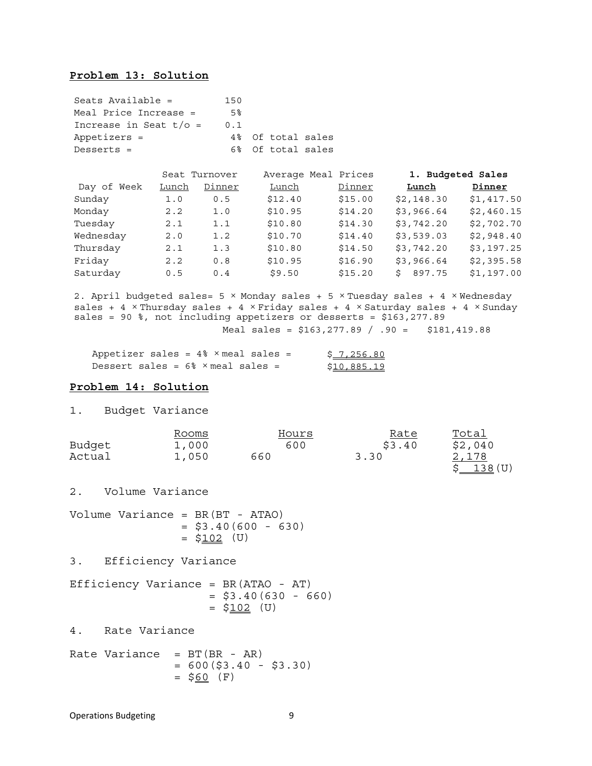# **Problem 13: Solution**

| Seats Available =            | 150 |                   |
|------------------------------|-----|-------------------|
| Meal Price Increase =        | 5%  |                   |
| Increase in Seat $t/\circ$ = | 0.1 |                   |
| Appetizers =                 |     | 4% Of total sales |
| $Deserts =$                  |     | 6% Of total sales |

|             | Seat Turnover |        |         | Average Meal Prices |            | 1. Budgeted Sales |  |  |
|-------------|---------------|--------|---------|---------------------|------------|-------------------|--|--|
| Day of Week | Lunch         | Dinner | Lunch   | Dinner              | Lunch      | Dinner            |  |  |
| Sunday      | 1.0           | 0.5    | \$12.40 | \$15.00             | \$2,148.30 | \$1,417.50        |  |  |
| Monday      | 2.2           | 1.0    | \$10.95 | \$14.20             | \$3,966.64 | \$2,460.15        |  |  |
| Tuesday     | 2.1           | 1.1    | \$10.80 | \$14.30             | \$3,742.20 | \$2,702.70        |  |  |
| Wednesday   | 2.0           | 1.2    | \$10.70 | \$14.40             | \$3,539.03 | \$2,948.40        |  |  |
| Thursday    | 2.1           | 1.3    | \$10.80 | \$14.50             | \$3,742.20 | \$3,197.25        |  |  |
| Friday      | 2.2           | 0.8    | \$10.95 | \$16.90             | \$3,966.64 | \$2,395.58        |  |  |
| Saturday    | 0.5           | 0.4    | \$9.50  | \$15.20             | \$897.75   | \$1,197.00        |  |  |

2. April budgeted sales= 5 × Monday sales + 5 × Tuesday sales + 4 × Wednesday sales + 4 × Thursday sales + 4 × Friday sales + 4 × Saturday sales + 4 × Sunday sales = 90 %, not including appetizers or desserts = \$163,277.89 Meal sales = \$163,277.89 / .90 = \$181,419.88

| Appetizer sales = $4\%$ $\times$ meal sales =        | \$7,256.80  |
|------------------------------------------------------|-------------|
| Dessert sales = $6\frac{1}{8}$ $\times$ meal sales = | \$10,885.19 |

#### **Problem 14: Solution**

```
1. Budget Variance
```

|        | Rooms | Hours | <u>Rate</u> | Total            |
|--------|-------|-------|-------------|------------------|
| Budget | 1,000 | 600   | \$3.40      | \$2,040          |
| Actual | 1,050 | 660   | 3.30        | 2,178<br>138 (U) |

2. Volume Variance

Volume Variance = BR(BT - ATAO)  $=$  \$3.40(600 - 630)  $= $102$  (U)

3. Efficiency Variance

Efficiency Variance = BR(ATAO - AT)  $=$  \$3.40(630 - 660)  $=$  \$102 (U)

4. Rate Variance

Rate Variance =  $BT(BR - AR)$  $= 600(53.40 - 53.30)$  $=$  \$60 (F)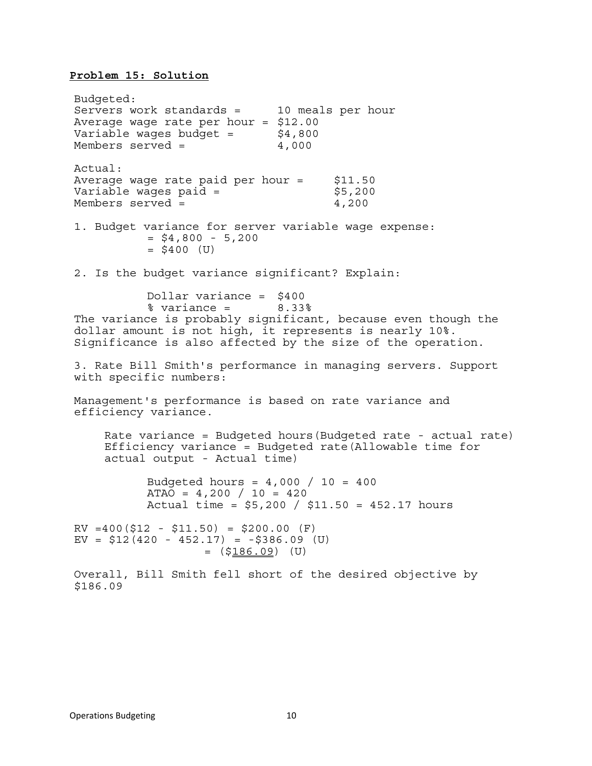# **Problem 15: Solution**

Budgeted: Servers work standards = 10 meals per hour Average wage rate per hour = \$12.00 Variable wages budget =  $$4,800$ Members served =  $4,000$ Actual: Average wage rate paid per hour  $=$  \$11.50 Variable wages paid =  $$5,200$ Members served = 4,200 1. Budget variance for server variable wage expense:  $=$  \$4,800 - 5,200  $= $400$  (U) 2. Is the budget variance significant? Explain: Dollar variance = \$400  $%$  variance =  $8.33%$ The variance is probably significant, because even though the dollar amount is not high, it represents is nearly 10%. Significance is also affected by the size of the operation. 3. Rate Bill Smith's performance in managing servers. Support with specific numbers: Management's performance is based on rate variance and efficiency variance. Rate variance = Budgeted hours(Budgeted rate - actual rate) Efficiency variance = Budgeted rate(Allowable time for actual output - Actual time) Budgeted hours =  $4,000 / 10 = 400$ ATAO =  $4,200 / 10 = 420$  Actual time = \$5,200 / \$11.50 = 452.17 hours  $RV = 400(512 - 511.50) = 5200.00 (F)$ EV =  $$12(420 - 452.17) = -$386.09$  (U)<br>=  $$186.09$ ) (U) Overall, Bill Smith fell short of the desired objective by \$186.09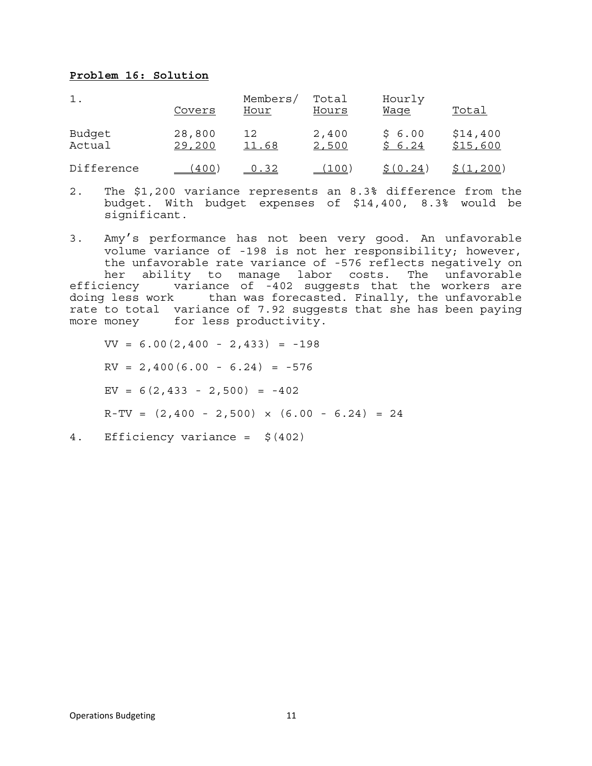### **Problem 16: Solution**

| 1.               | Covers           | Members/<br>Hour | Total<br>Hours | Hourly<br>Waqe   | Total                |
|------------------|------------------|------------------|----------------|------------------|----------------------|
| Budget<br>Actual | 28,800<br>29,200 | 12<br>11.68      | 2,400<br>2,500 | \$6.00<br>\$6.24 | \$14,400<br>\$15,600 |
| Difference       | 400              | 0.32             | (100           | S(0.24)          | 、1,200'              |

- 2. The \$1,200 variance represents an 8.3% difference from the budget. With budget expenses of \$14,400, 8.3% would be significant.
- 3. Amy's performance has not been very good. An unfavorable volume variance of -198 is not her responsibility; however, the unfavorable rate variance of -576 reflects negatively on her ability to manage labor costs. The unfavorable efficiency variance of -402 suggests that the workers are doing less work than was forecasted. Finally, the unfavorable rate to total variance of 7.92 suggests that she has been paying more money for less productivity.

 $VV = 6.00(2,400 - 2,433) = -198$  $RV = 2,400(6.00 - 6.24) = -576$ EV =  $6(2, 433 - 2, 500) = -402$  $R-TV = (2,400 - 2,500) \times (6.00 - 6.24) = 24$ 

4. Efficiency variance = \$(402)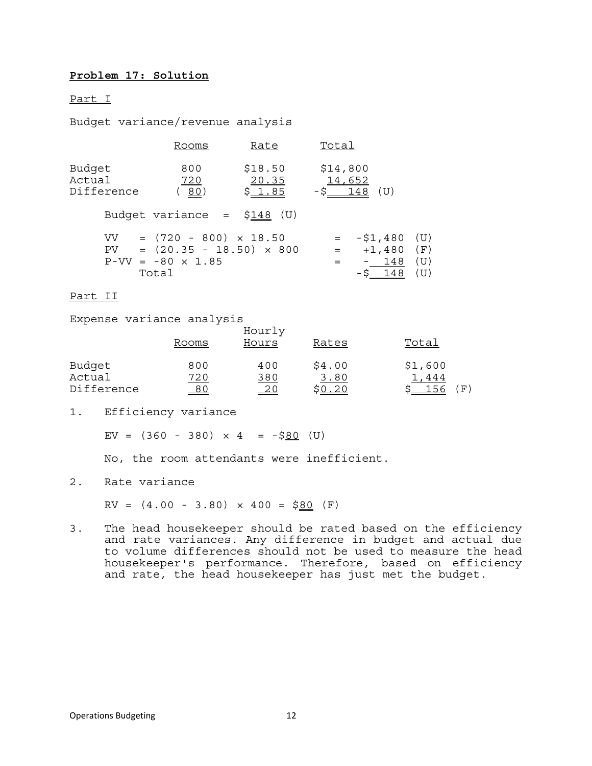# **Problem 17: Solution**

#### Part I

Budget variance/revenue analysis

|                                | Rooms                                                                                                     | Rate                       | Total                                                                                        |
|--------------------------------|-----------------------------------------------------------------------------------------------------------|----------------------------|----------------------------------------------------------------------------------------------|
| Budget<br>Actual<br>Difference | 800<br>720<br>(80)                                                                                        | \$18.50<br>20.35<br>\$1.85 | \$14,800<br>14,652<br>$-S_1 148$ (U)                                                         |
|                                | Budget variance = $$148$ (U)                                                                              |                            |                                                                                              |
|                                | $VV = (720 - 800) \times 18.50$<br>$PV = (20.35 - 18.50) \times 800$<br>$P-VV = -80 \times 1.85$<br>Total |                            | $-51,480$ (U)<br>$=$ $-$<br>$+1,480$<br>(F)<br>$=$ $-$<br>(U)<br>$-148$<br>$-5 - 148$<br>(U) |

#### Part II

Expense variance analysis

|            | Rooms | Hourly<br>Hours | Rates  | Total   |
|------------|-------|-----------------|--------|---------|
| Budget     | 800   | 400             | \$4.00 | \$1,600 |
| Actual     | 720   | 380             | 3.80   | 444     |
| Difference | 80    | <u>20</u>       | .20    | F'      |

1. Efficiency variance

EV =  $(360 - 380) \times 4 = -580$  (U)

No, the room attendants were inefficient.

2. Rate variance

 $RV = (4.00 - 3.80) \times 400 = $80 (F)$ 

3. The head housekeeper should be rated based on the efficiency and rate variances. Any difference in budget and actual due to volume differences should not be used to measure the head housekeeper's performance. Therefore, based on efficiency and rate, the head housekeeper has just met the budget.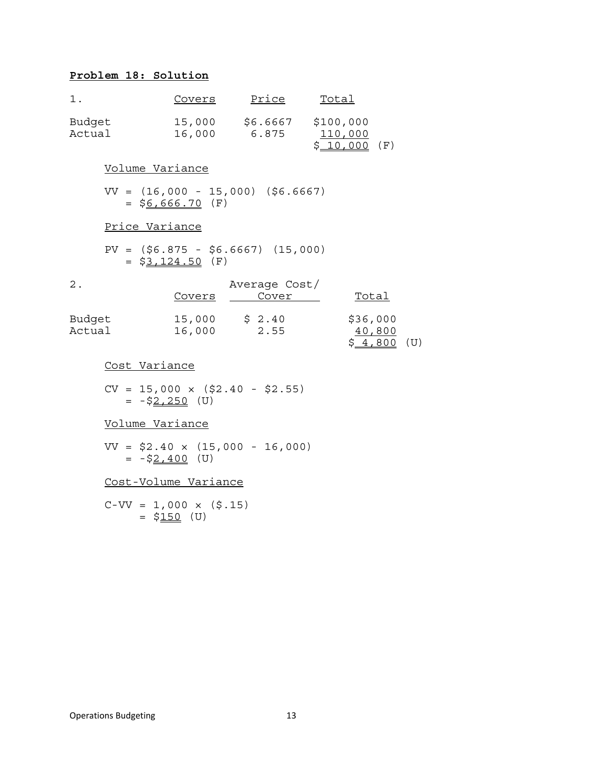# **Problem 18: Solution**

| 1.               |                                                           | <u>Covers</u> | <u>Price</u>                                      | <u>Total</u>  |                        |  |
|------------------|-----------------------------------------------------------|---------------|---------------------------------------------------|---------------|------------------------|--|
| Budget<br>Actual |                                                           |               | 15,000 \$6.6667 \$100,000<br>16,000 6.875 110,000 | $$10,000$ (F) |                        |  |
|                  | Volume Variance                                           |               |                                                   |               |                        |  |
|                  | $VV = (16,000 - 15,000)$ (\$6.6667)<br>$=$ \$6,666.70 (F) |               |                                                   |               |                        |  |
|                  | Price Variance                                            |               |                                                   |               |                        |  |
|                  | $PV = (56.875 - 56.6667)$ (15,000)<br>$=$ \$3,124.50 (F)  |               |                                                   |               |                        |  |
| $\mathbf 2$ .    |                                                           | <b>Covers</b> | Average Cost/<br>Cover                            |               | <u>Total</u>           |  |
| Budget<br>Actual |                                                           | 16,000 2.55   | 15,000 \$ 2.40 \$36,000                           |               | 40,800<br>$$4,800$ (U) |  |
|                  | Cost Variance                                             |               |                                                   |               |                        |  |
|                  | $CV = 15,000 \times (\$2.40 - \$2.55)$<br>$= -52,250$ (U) |               |                                                   |               |                        |  |
|                  | <u>Volume Variance</u>                                    |               |                                                   |               |                        |  |
|                  | $VV = $2.40 \times (15,000 - 16,000)$<br>$= -52,400$ (U)  |               |                                                   |               |                        |  |

Cost-Volume Variance

 $C-VV = 1,000 \times (5.15)$ = \$150 (U)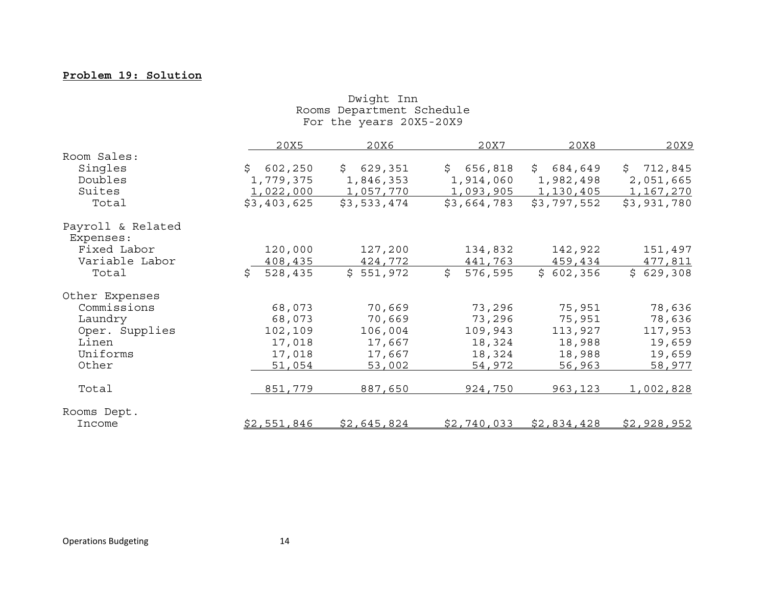#### **Problem 19: Solution**

| Rooms Department Schedule<br>For the years 20X5-20X9 |               |             |               |             |             |  |
|------------------------------------------------------|---------------|-------------|---------------|-------------|-------------|--|
|                                                      | 20X5          | 20X6        | 20X7          | 20X8        | 20X9        |  |
| Room Sales:                                          |               |             |               |             |             |  |
| Singles                                              | \$602, 250    | \$629,351   | \$656,818     | \$684,649   | \$712,845   |  |
| Doubles                                              | 1,779,375     | 1,846,353   | 1,914,060     | 1,982,498   | 2,051,665   |  |
| Suites                                               | 1,022,000     | 1,057,770   | 1,093,905     | 1,130,405   | 1, 167, 270 |  |
| Total                                                | \$3,403,625   | \$3,533,474 | \$3,664,783   | \$3,797,552 | \$3,931,780 |  |
| Payroll & Related<br>Expenses:                       |               |             |               |             |             |  |
| Fixed Labor                                          | 120,000       | 127,200     | 134,832       | 142,922     | 151,497     |  |
| Variable Labor                                       | 408,435       | 424,772     | 441,763       | 459,434     | 477,811     |  |
| Total                                                | Ŝ.<br>528,435 | \$551,972   | \$<br>576,595 | \$602,356   | \$629,308   |  |
| Other Expenses                                       |               |             |               |             |             |  |
| Commissions                                          | 68,073        | 70,669      | 73,296        | 75,951      | 78,636      |  |
| Laundry                                              | 68,073        | 70,669      | 73,296        | 75,951      | 78,636      |  |
| Oper. Supplies                                       | 102,109       | 106,004     | 109,943       | 113,927     | 117,953     |  |
| Linen                                                | 17,018        | 17,667      | 18,324        | 18,988      | 19,659      |  |
| Uniforms                                             | 17,018        | 17,667      | 18,324        | 18,988      | 19,659      |  |
| Other                                                | 51,054        | 53,002      | 54,972        | 56,963      | 58,977      |  |
| Total                                                | 851,779       | 887,650     | 924,750       | 963, 123    | 1,002,828   |  |
| Rooms Dept.                                          |               |             |               |             |             |  |
| Income                                               | \$2,551,846   | \$2,645,824 | \$2,740,033   | \$2,834,428 | \$2,928,952 |  |

Dwight Inn